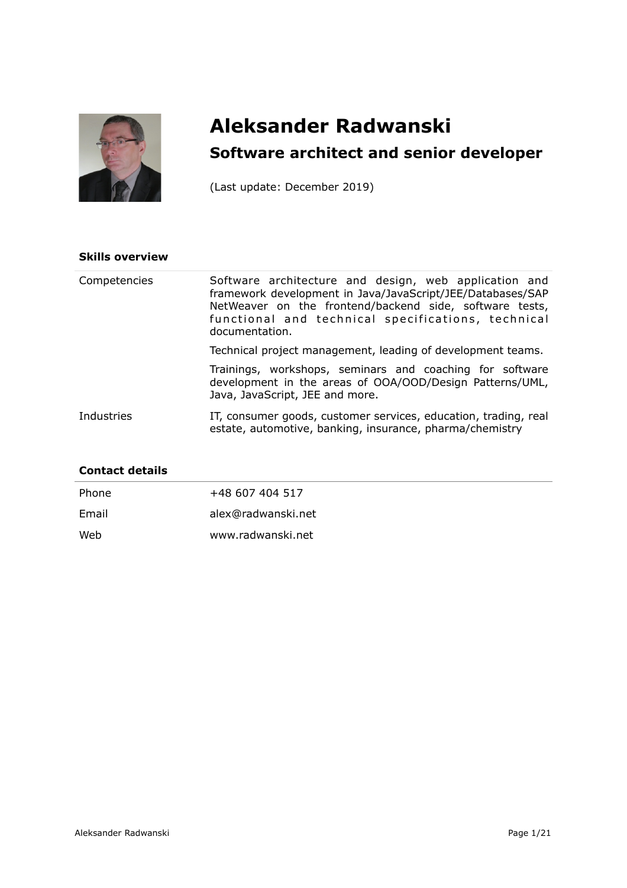

# **Aleksander Radwanski Software architect and senior developer**

(Last update: December 2019)

## **Skills overview**

| Competencies | Software architecture and design, web application and<br>framework development in Java/JavaScript/JEE/Databases/SAP<br>NetWeaver on the frontend/backend side, software tests,<br>functional and technical specifications, technical<br>documentation. |
|--------------|--------------------------------------------------------------------------------------------------------------------------------------------------------------------------------------------------------------------------------------------------------|
|              | Technical project management, leading of development teams.                                                                                                                                                                                            |
|              | Trainings, workshops, seminars and coaching for software<br>development in the areas of OOA/OOD/Design Patterns/UML,<br>Java, JavaScript, JEE and more.                                                                                                |
| Industries   | IT, consumer goods, customer services, education, trading, real<br>estate, automotive, banking, insurance, pharma/chemistry                                                                                                                            |

# **Contact details**

| Phone | +48 607 404 517    |
|-------|--------------------|
| Email | alex@radwanski.net |
| Web   | www.radwanski.net  |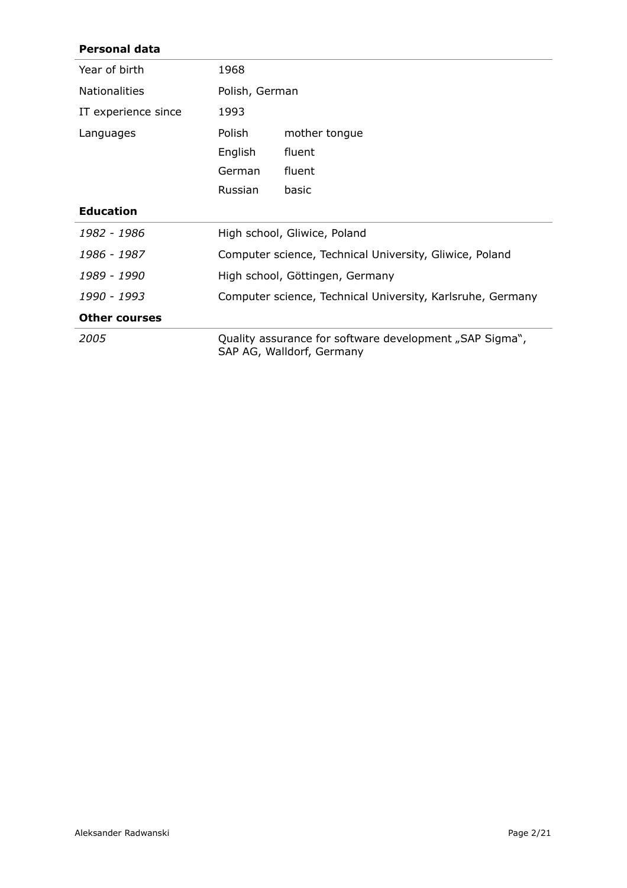# **Personal data**

| Year of birth        | 1968                                                                                 |               |
|----------------------|--------------------------------------------------------------------------------------|---------------|
| <b>Nationalities</b> | Polish, German                                                                       |               |
| IT experience since  | 1993                                                                                 |               |
| Languages            | Polish                                                                               | mother tongue |
|                      | English                                                                              | fluent        |
|                      | German                                                                               | fluent        |
|                      | Russian                                                                              | basic         |
| <b>Education</b>     |                                                                                      |               |
| 1982 - 1986          | High school, Gliwice, Poland                                                         |               |
| 1986 - 1987          | Computer science, Technical University, Gliwice, Poland                              |               |
| 1989 - 1990          | High school, Göttingen, Germany                                                      |               |
| 1990 - 1993          | Computer science, Technical University, Karlsruhe, Germany                           |               |
| <b>Other courses</b> |                                                                                      |               |
| 2005                 | Quality assurance for software development "SAP Sigma",<br>SAP AG, Walldorf, Germany |               |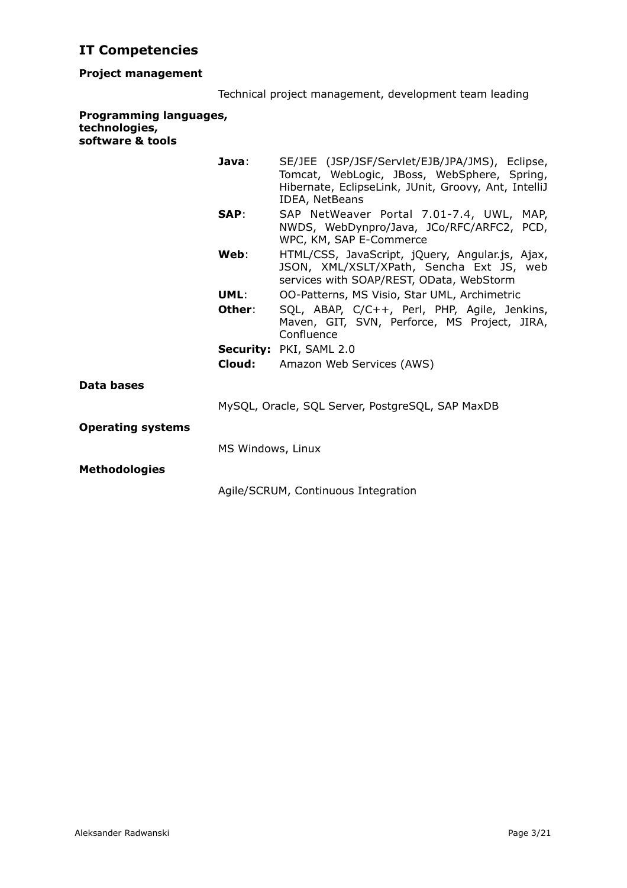# **IT Competencies**

# **Project management**

|  | Technical project management, development team leading |  |
|--|--------------------------------------------------------|--|

### **Programming languages, technologies, software & tools**

| Java:                    | SE/JEE (JSP/JSF/Servlet/EJB/JPA/JMS), Eclipse,<br>Tomcat, WebLogic, JBoss, WebSphere, Spring,<br>Hibernate, EclipseLink, JUnit, Groovy, Ant, IntelliJ<br>IDEA, NetBeans |  |  |
|--------------------------|-------------------------------------------------------------------------------------------------------------------------------------------------------------------------|--|--|
| SAP:                     | SAP NetWeaver Portal 7.01-7.4, UWL, MAP,<br>NWDS, WebDynpro/Java, JCo/RFC/ARFC2, PCD,<br>WPC, KM, SAP E-Commerce                                                        |  |  |
| Web:                     | HTML/CSS, JavaScript, jQuery, Angular.js, Ajax,<br>JSON, XML/XSLT/XPath, Sencha Ext JS, web<br>services with SOAP/REST, OData, WebStorm                                 |  |  |
| UML:                     | 00-Patterns, MS Visio, Star UML, Archimetric                                                                                                                            |  |  |
| Other:                   | SQL, ABAP, C/C++, Perl, PHP, Agile, Jenkins,<br>Maven, GIT, SVN, Perforce, MS Project, JIRA,<br>Confluence                                                              |  |  |
|                          | Security: PKI, SAML 2.0                                                                                                                                                 |  |  |
| Cloud:                   | Amazon Web Services (AWS)                                                                                                                                               |  |  |
| Data bases               |                                                                                                                                                                         |  |  |
|                          | MySQL, Oracle, SQL Server, PostgreSQL, SAP MaxDB                                                                                                                        |  |  |
| <b>Operating systems</b> |                                                                                                                                                                         |  |  |
|                          | MS Windows, Linux                                                                                                                                                       |  |  |
| <b>Methodologies</b>     |                                                                                                                                                                         |  |  |
|                          | Agile/SCRUM, Continuous Integration                                                                                                                                     |  |  |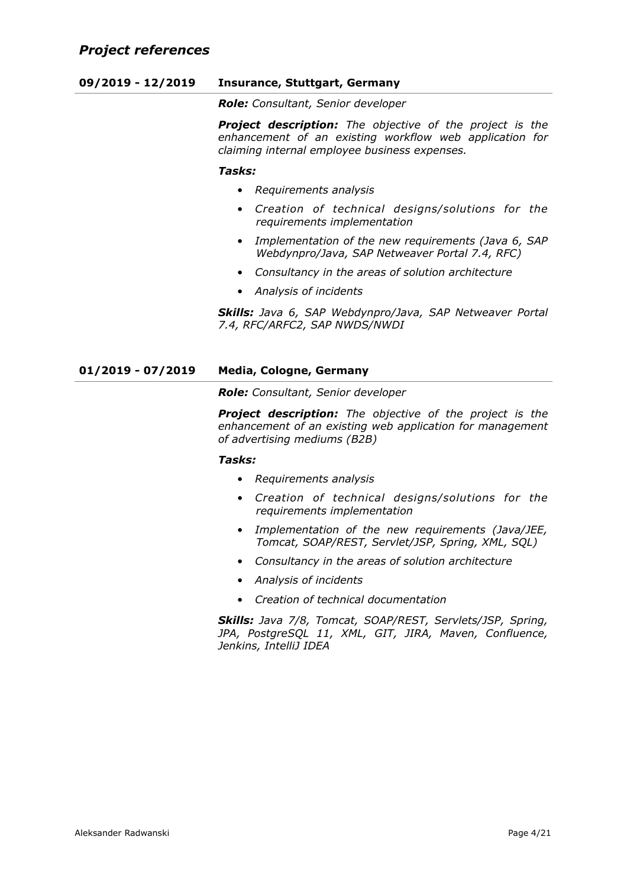# **09/2019 - 12/2019 Insurance, Stuttgart, Germany**

*Role: Consultant, Senior developer*

*Project description: The objective of the project is the enhancement of an existing workflow web application for claiming internal employee business expenses.*

#### *Tasks:*

- *Requirements analysis*
- *Creation of technical designs/solutions for the requirements implementation*
- *Implementation of the new requirements (Java 6, SAP Webdynpro/Java, SAP Netweaver Portal 7.4, RFC)*
- *Consultancy in the areas of solution architecture*
- *Analysis of incidents*

*Skills: Java 6, SAP Webdynpro/Java, SAP Netweaver Portal 7.4, RFC/ARFC2, SAP NWDS/NWDI*

# **01/2019 - 07/2019 Media, Cologne, Germany**

*Role: Consultant, Senior developer*

*Project description: The objective of the project is the enhancement of an existing web application for management of advertising mediums (B2B)*

## *Tasks:*

- *Requirements analysis*
- *Creation of technical designs/solutions for the requirements implementation*
- *Implementation of the new requirements (Java/JEE, Tomcat, SOAP/REST, Servlet/JSP, Spring, XML, SQL)*
- *Consultancy in the areas of solution architecture*
- *Analysis of incidents*
- *Creation of technical documentation*

*Skills: Java 7/8, Tomcat, SOAP/REST, Servlets/JSP, Spring, JPA, PostgreSQL 11, XML, GIT, JIRA, Maven, Confluence, Jenkins, IntelliJ IDEA*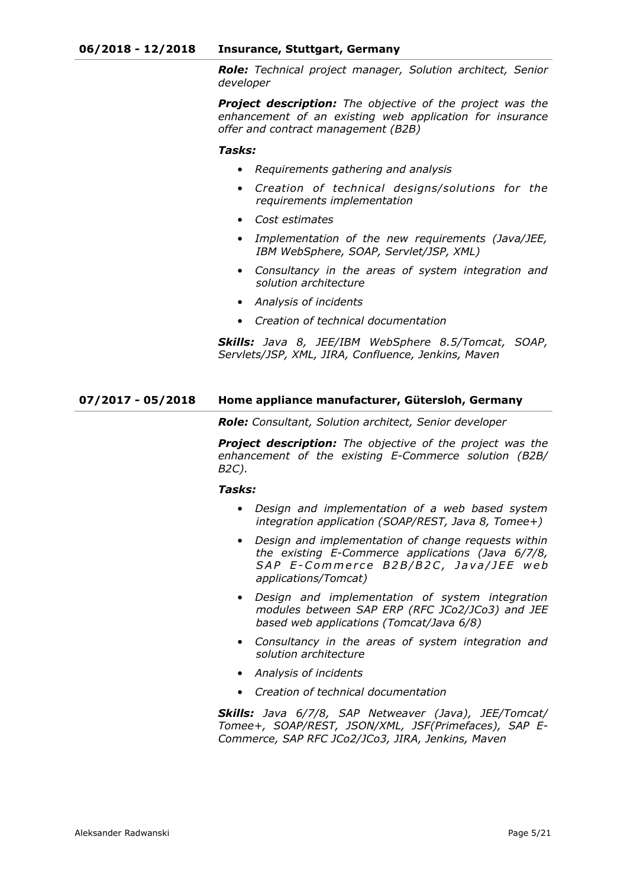*Role: Technical project manager, Solution architect, Senior developer*

*Project description: The objective of the project was the enhancement of an existing web application for insurance offer and contract management (B2B)*

#### *Tasks:*

- *Requirements gathering and analysis*
- *Creation of technical designs/solutions for the requirements implementation*
- *Cost estimates*
- *Implementation of the new requirements (Java/JEE, IBM WebSphere, SOAP, Servlet/JSP, XML)*
- *Consultancy in the areas of system integration and solution architecture*
- *Analysis of incidents*
- *Creation of technical documentation*

*Skills: Java 8, JEE/IBM WebSphere 8.5/Tomcat, SOAP, Servlets/JSP, XML, JIRA, Confluence, Jenkins, Maven*

#### **07/2017 - 05/2018 Home appliance manufacturer, Gütersloh, Germany**

*Role: Consultant, Solution architect, Senior developer*

*Project description: The objective of the project was the enhancement of the existing E-Commerce solution (B2B/ B2C).*

#### *Tasks:*

- *Design and implementation of a web based system integration application (SOAP/REST, Java 8, Tomee+)*
- *Design and implementation of change requests within the existing E-Commerce applications (Java 6/7/8,*  SAP E-Commerce B2B/B2C, Java/JEE web *applications/Tomcat)*
- *Design and implementation of system integration modules between SAP ERP (RFC JCo2/JCo3) and JEE based web applications (Tomcat/Java 6/8)*
- *Consultancy in the areas of system integration and solution architecture*
- *Analysis of incidents*
- *Creation of technical documentation*

*Skills: Java 6/7/8, SAP Netweaver (Java), JEE/Tomcat/ Tomee+, SOAP/REST, JSON/XML, JSF(Primefaces), SAP E-Commerce, SAP RFC JCo2/JCo3, JIRA, Jenkins, Maven*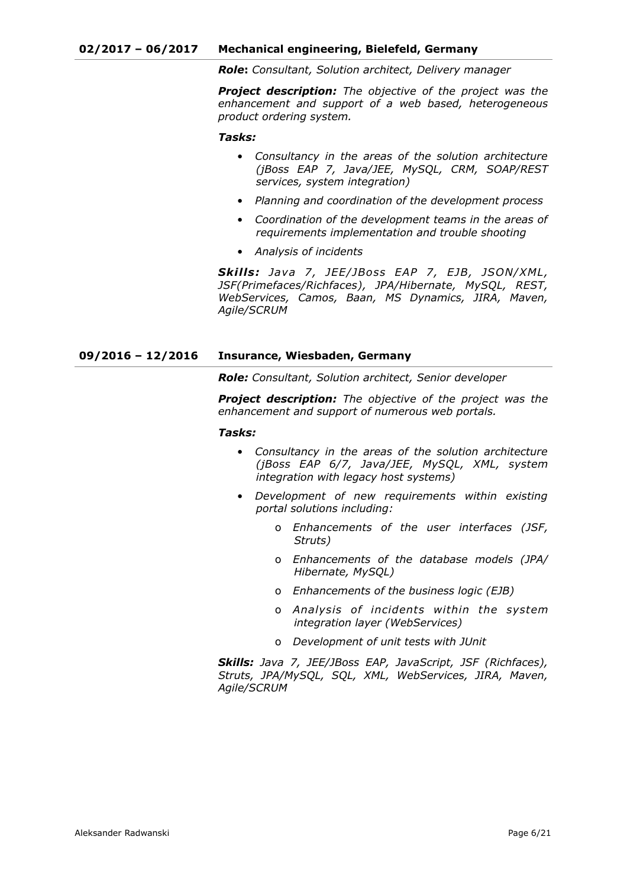*Role***:** *Consultant, Solution architect, Delivery manager*

*Project description: The objective of the project was the enhancement and support of a web based, heterogeneous product ordering system.*

*Tasks:*

- *Consultancy in the areas of the solution architecture (jBoss EAP 7, Java/JEE, MySQL, CRM, SOAP/REST services, system integration)*
- *Planning and coordination of the development process*
- *Coordination of the development teams in the areas of requirements implementation and trouble shooting*
- *Analysis of incidents*

Skills: *Java 7, JEE/JBoss EAP 7, EJB, JSON/XML*, *JSF(Primefaces/Richfaces), JPA/Hibernate, MySQL, REST, WebServices, Camos, Baan, MS Dynamics, JIRA, Maven, Agile/SCRUM*

#### **09/2016 – 12/2016 Insurance, Wiesbaden, Germany**

*Role: Consultant, Solution architect, Senior developer*

*Project description: The objective of the project was the enhancement and support of numerous web portals.*

#### *Tasks:*

- *Consultancy in the areas of the solution architecture (jBoss EAP 6/7, Java/JEE, MySQL, XML, system integration with legacy host systems)*
- *Development of new requirements within existing portal solutions including:* 
	- o *Enhancements of the user interfaces (JSF, Struts)*
	- o *Enhancements of the database models (JPA/ Hibernate, MySQL)*
	- o *Enhancements of the business logic (EJB)*
	- o *Analysis of incidents within the system integration layer (WebServices)*
	- o *Development of unit tests with JUnit*

*Skills: Java 7, JEE/JBoss EAP, JavaScript, JSF (Richfaces), Struts, JPA/MySQL, SQL, XML, WebServices, JIRA, Maven, Agile/SCRUM*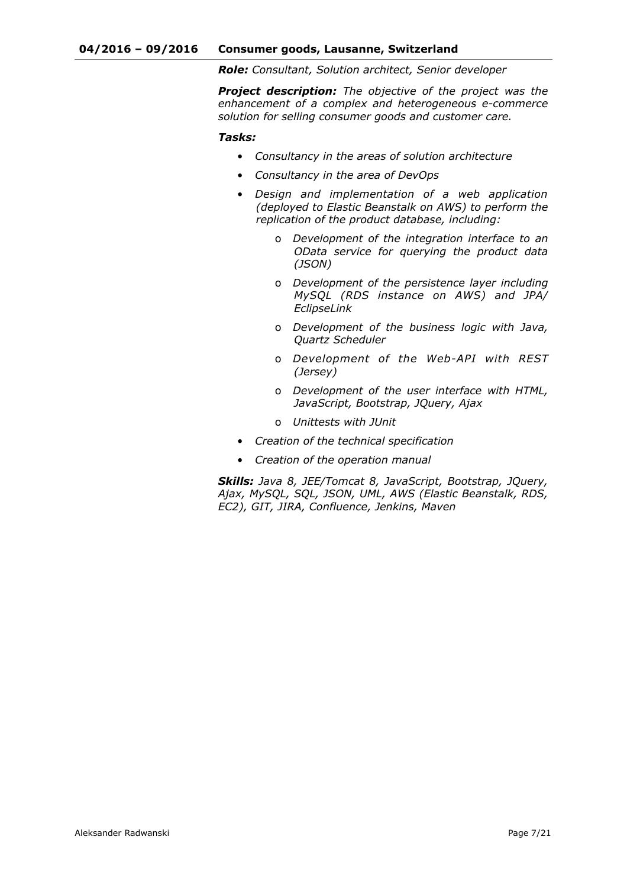*Role: Consultant, Solution architect, Senior developer*

*Project description: The objective of the project was the enhancement of a complex and heterogeneous e-commerce solution for selling consumer goods and customer care.*

#### *Tasks:*

- *Consultancy in the areas of solution architecture*
- *Consultancy in the area of DevOps*
- *Design and implementation of a web application (deployed to Elastic Beanstalk on AWS) to perform the replication of the product database, including:* 
	- o *Development of the integration interface to an OData service for querying the product data (JSON)*
	- o *Development of the persistence layer including MySQL (RDS instance on AWS) and JPA/ EclipseLink*
	- o *Development of the business logic with Java, Quartz Scheduler*
	- o *Development of the Web-API with REST (Jersey)*
	- o *Development of the user interface with HTML, JavaScript, Bootstrap, JQuery, Ajax*
	- o *Unittests with JUnit*
- *Creation of the technical specification*
- *Creation of the operation manual*

*Skills: Java 8, JEE/Tomcat 8, JavaScript, Bootstrap, JQuery, Ajax, MySQL, SQL, JSON, UML, AWS (Elastic Beanstalk, RDS, EC2), GIT, JIRA, Confluence, Jenkins, Maven*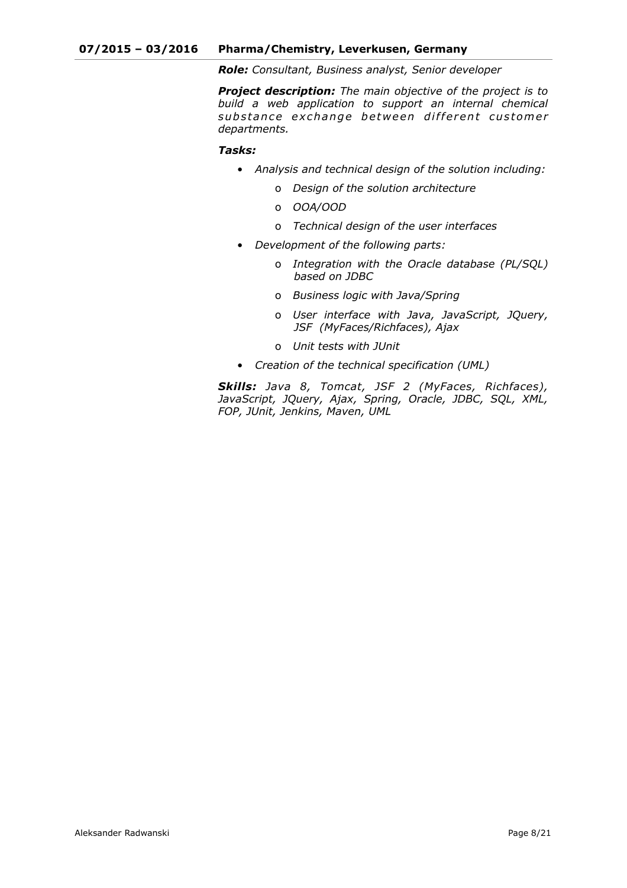*Role: Consultant, Business analyst, Senior developer*

*Project description: The main objective of the project is to build a web application to support an internal chemical*  substance exchange between different customer *departments.*

# *Tasks:*

- *Analysis and technical design of the solution including:* 
	- o *Design of the solution architecture*
	- o *OOA/OOD*
	- o *Technical design of the user interfaces*
- *Development of the following parts:* 
	- o *Integration with the Oracle database (PL/SQL) based on JDBC*
	- o *Business logic with Java/Spring*
	- o *User interface with Java, JavaScript, JQuery, JSF (MyFaces/Richfaces), Ajax*
	- o *Unit tests with JUnit*
- *Creation of the technical specification (UML)*

*Skills: Java 8, Tomcat, JSF 2 (MyFaces, Richfaces), JavaScript, JQuery, Ajax, Spring, Oracle, JDBC, SQL, XML, FOP, JUnit, Jenkins, Maven, UML*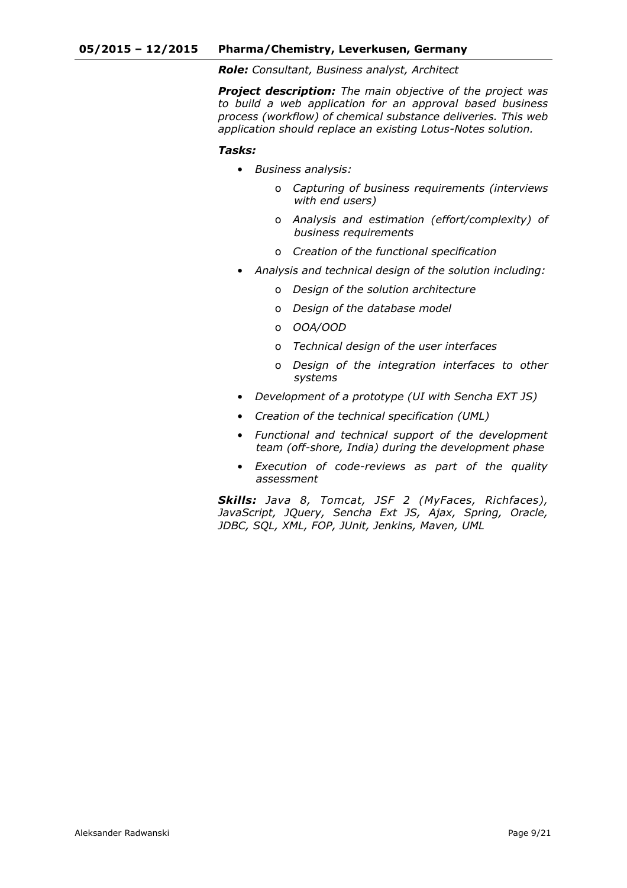*Role: Consultant, Business analyst, Architect*

*Project description: The main objective of the project was to build a web application for an approval based business process (workflow) of chemical substance deliveries. This web application should replace an existing Lotus-Notes solution.*

#### *Tasks:*

- *Business analysis:* 
	- o *Capturing of business requirements (interviews with end users)*
	- o *Analysis and estimation (effort/complexity) of business requirements*
	- o *Creation of the functional specification*
- *Analysis and technical design of the solution including:* 
	- o *Design of the solution architecture*
	- o *Design of the database model*
	- o *OOA/OOD*
	- o *Technical design of the user interfaces*
	- o *Design of the integration interfaces to other systems*
- *Development of a prototype (UI with Sencha EXT JS)*
- *Creation of the technical specification (UML)*
- *Functional and technical support of the development team (off-shore, India) during the development phase*
- *Execution of code-reviews as part of the quality assessment*

*Skills: Java 8, Tomcat, JSF 2 (MyFaces, Richfaces), JavaScript, JQuery, Sencha Ext JS, Ajax, Spring, Oracle, JDBC, SQL, XML, FOP, JUnit, Jenkins, Maven, UML*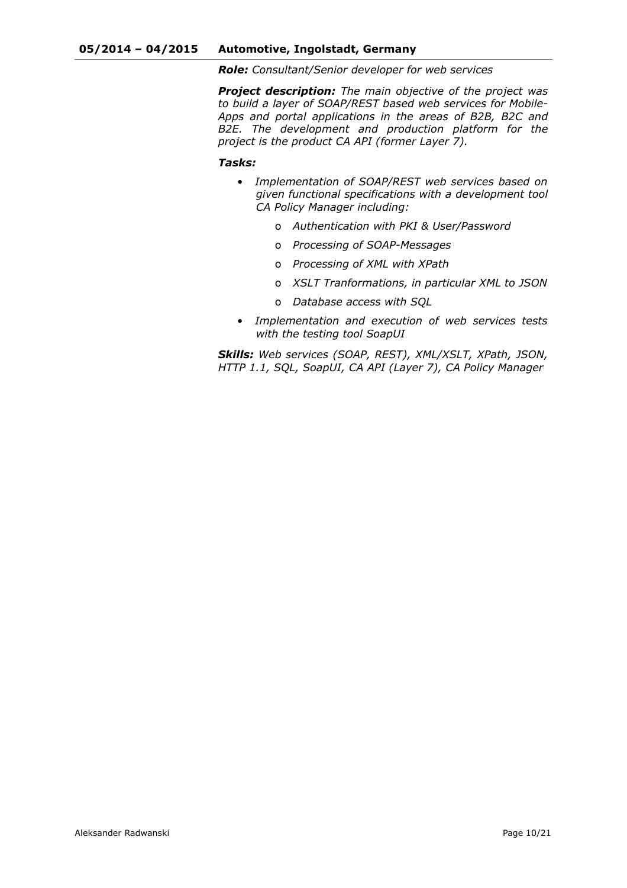*Role: Consultant/Senior developer for web services*

*Project description: The main objective of the project was to build a layer of SOAP/REST based web services for Mobile-Apps and portal applications in the areas of B2B, B2C and B2E. The development and production platform for the project is the product CA API (former Layer 7).*

#### *Tasks:*

- *Implementation of SOAP/REST web services based on given functional specifications with a development tool CA Policy Manager including:* 
	- o *Authentication with PKI & User/Password*
	- o *Processing of SOAP-Messages*
	- o *Processing of XML with XPath*
	- o *XSLT Tranformations, in particular XML to JSON*
	- o *Database access with SQL*
- *Implementation and execution of web services tests with the testing tool SoapUI*

*Skills: Web services (SOAP, REST), XML/XSLT, XPath, JSON, HTTP 1.1, SQL, SoapUI, CA API (Layer 7), CA Policy Manager*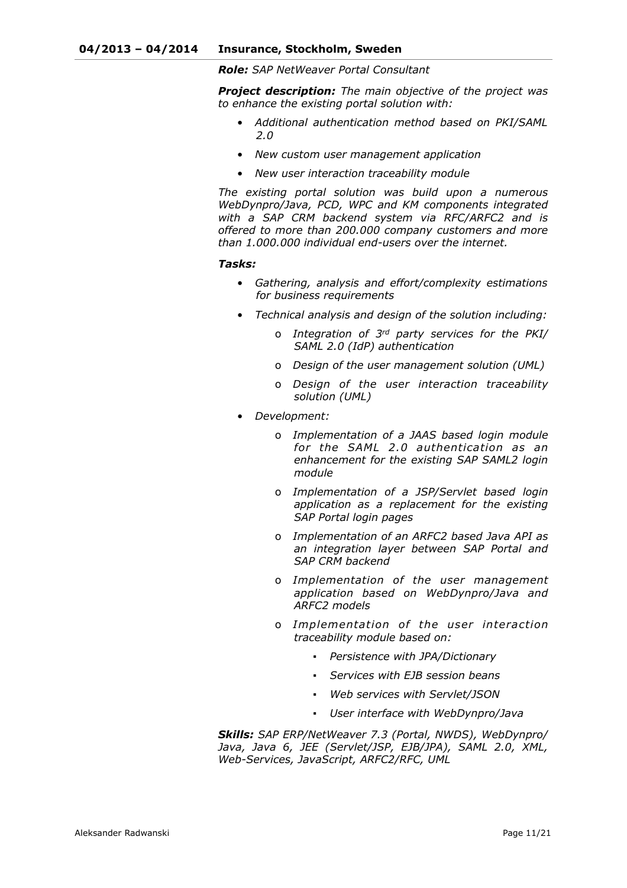*Role: SAP NetWeaver Portal Consultant*

*Project description: The main objective of the project was to enhance the existing portal solution with:* 

- *Additional authentication method based on PKI/SAML 2.0*
- *New custom user management application*
- *New user interaction traceability module*

*The existing portal solution was build upon a numerous WebDynpro/Java, PCD, WPC and KM components integrated with a SAP CRM backend system via RFC/ARFC2 and is offered to more than 200.000 company customers and more than 1.000.000 individual end-users over the internet.*

#### *Tasks:*

- *Gathering, analysis and effort/complexity estimations for business requirements*
- *Technical analysis and design of the solution including:* 
	- o *Integration of 3rd party services for the PKI/ SAML 2.0 (IdP) authentication*
	- o *Design of the user management solution (UML)*
	- o *Design of the user interaction traceability solution (UML)*
- *Development:* 
	- o *Implementation of a JAAS based login module for the SAML 2.0 authentication as an enhancement for the existing SAP SAML2 login module*
	- o *Implementation of a JSP/Servlet based login application as a replacement for the existing SAP Portal login pages*
	- o *Implementation of an ARFC2 based Java API as an integration layer between SAP Portal and SAP CRM backend*
	- o *Implementation of the user management application based on WebDynpro/Java and ARFC2 models*
	- o *Implementation of the user interaction traceability module based on:* 
		- *Persistence with JPA/Dictionary*
		- Services with EJB session beans
		- *Web services with Servlet/JSON*
		- *User interface with WebDynpro/Java*

*Skills: SAP ERP/NetWeaver 7.3 (Portal, NWDS), WebDynpro/ Java, Java 6, JEE (Servlet/JSP, EJB/JPA), SAML 2.0, XML, Web-Services, JavaScript, ARFC2/RFC, UML*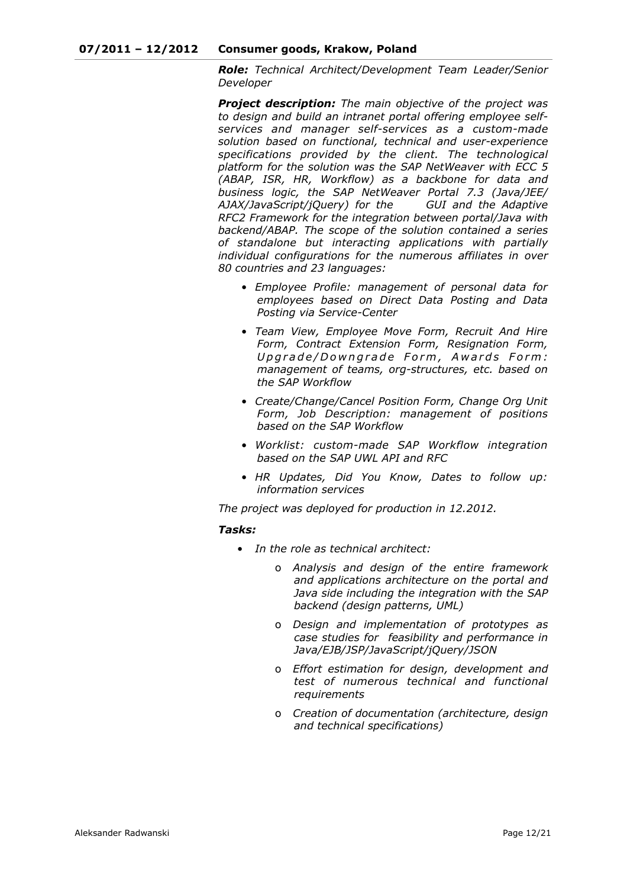*Role: Technical Architect/Development Team Leader/Senior Developer*

*Project description: The main objective of the project was to design and build an intranet portal offering employee selfservices and manager self-services as a custom-made solution based on functional, technical and user-experience specifications provided by the client. The technological platform for the solution was the SAP NetWeaver with ECC 5 (ABAP, ISR, HR, Workflow) as a backbone for data and business logic, the SAP NetWeaver Portal 7.3 (Java/JEE/ AJAX/JavaScript/jQuery) for the GUI and the Adaptive RFC2 Framework for the integration between portal/Java with backend/ABAP. The scope of the solution contained a series of standalone but interacting applications with partially individual configurations for the numerous affiliates in over 80 countries and 23 languages:* 

- *Employee Profile: management of personal data for employees based on Direct Data Posting and Data Posting via Service-Center*
- *Team View, Employee Move Form, Recruit And Hire Form, Contract Extension Form, Resignation Form,*  Upgrade/Downgrade Form, Awards Form: *management of teams, org-structures, etc. based on the SAP Workflow*
- *Create/Change/Cancel Position Form, Change Org Unit Form, Job Description: management of positions based on the SAP Workflow*
- *Worklist: custom-made SAP Workflow integration based on the SAP UWL API and RFC*
- *HR Updates, Did You Know, Dates to follow up: information services*

*The project was deployed for production in 12.2012.*

#### *Tasks:*

- *In the role as technical architect:* 
	- o *Analysis and design of the entire framework and applications architecture on the portal and Java side including the integration with the SAP backend (design patterns, UML)*
	- o *Design and implementation of prototypes as case studies for feasibility and performance in Java/EJB/JSP/JavaScript/jQuery/JSON*
	- o *Effort estimation for design, development and test of numerous technical and functional requirements*
	- o *Creation of documentation (architecture, design and technical specifications)*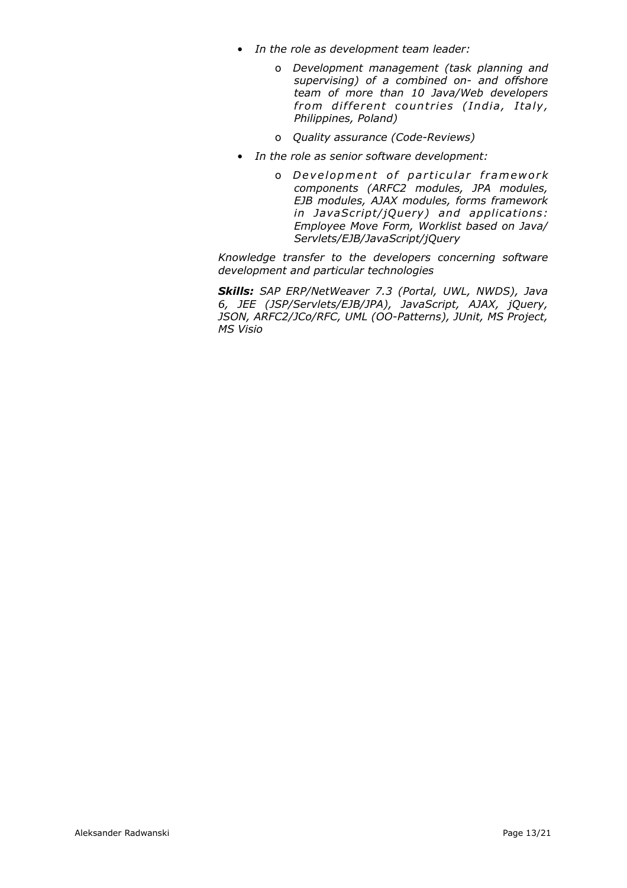- *In the role as development team leader:* 
	- o *Development management (task planning and supervising) of a combined on- and offshore team of more than 10 Java/Web developers from different countries (India, Italy, Philippines, Poland)*
	- o *Quality assurance (Code-Reviews)*
- *In the role as senior software development:* 
	- o *D e v el o pm e n t o f p a r ti c ul a r f r am ew o r k components (ARFC2 modules, JPA modules, EJB modules, AJAX modules, forms framework in JavaScript/jQuery) and applications: Employee Move Form, Worklist based on Java/ Servlets/EJB/JavaScript/jQuery*

*Knowledge transfer to the developers concerning software development and particular technologies*

*Skills: SAP ERP/NetWeaver 7.3 (Portal, UWL, NWDS), Java 6, JEE (JSP/Servlets/EJB/JPA), JavaScript, AJAX, jQuery, JSON, ARFC2/JCo/RFC, UML (OO-Patterns), JUnit, MS Project, MS Visio*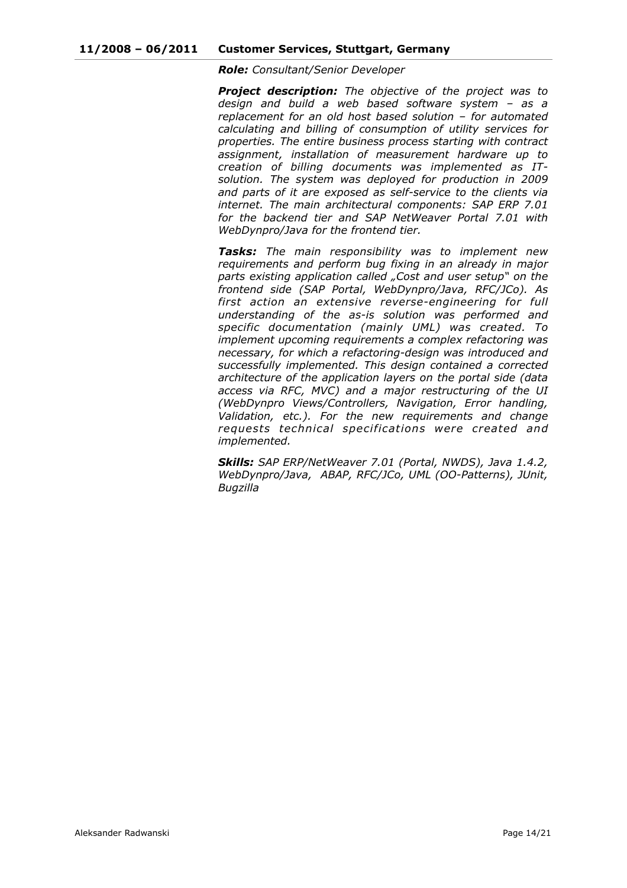*Role: Consultant/Senior Developer*

*Project description: The objective of the project was to design and build a web based software system – as a replacement for an old host based solution – for automated calculating and billing of consumption of utility services for properties. The entire business process starting with contract assignment, installation of measurement hardware up to creation of billing documents was implemented as ITsolution. The system was deployed for production in 2009 and parts of it are exposed as self-service to the clients via internet. The main architectural components: SAP ERP 7.01 for the backend tier and SAP NetWeaver Portal 7.01 with WebDynpro/Java for the frontend tier.*

*Tasks: The main responsibility was to implement new requirements and perform bug fixing in an already in major parts existing application called "Cost and user setup" on the frontend side (SAP Portal, WebDynpro/Java, RFC/JCo). As first action an extensive reverse-engineering for full understanding of the as-is solution was performed and specific documentation (mainly UML) was created. To implement upcoming requirements a complex refactoring was necessary, for which a refactoring-design was introduced and successfully implemented. This design contained a corrected architecture of the application layers on the portal side (data access via RFC, MVC) and a major restructuring of the UI (WebDynpro Views/Controllers, Navigation, Error handling, Validation, etc.). For the new requirements and change requests technical specifications were created and implemented.*

*Skills: SAP ERP/NetWeaver 7.01 (Portal, NWDS), Java 1.4.2, WebDynpro/Java, ABAP, RFC/JCo, UML (OO-Patterns), JUnit, Bugzilla*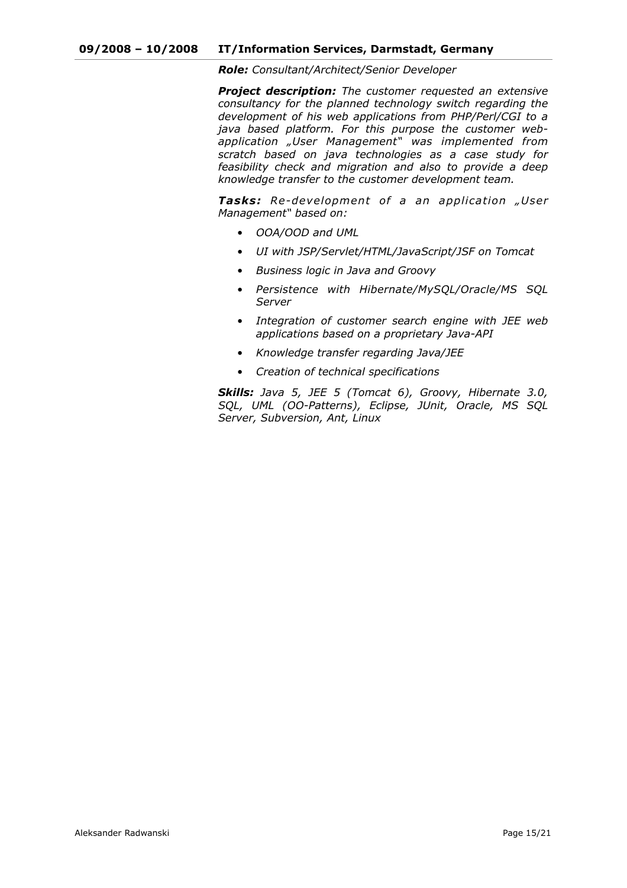*Role: Consultant/Architect/Senior Developer*

*Project description: The customer requested an extensive consultancy for the planned technology switch regarding the development of his web applications from PHP/Perl/CGI to a java based platform. For this purpose the customer webapplication "User Management" was implemented from scratch based on java technologies as a case study for feasibility check and migration and also to provide a deep knowledge transfer to the customer development team.*

**Tasks:** Re-development of a an application "User *Management" based on:* 

- *OOA/OOD and UML*
- *UI with JSP/Servlet/HTML/JavaScript/JSF on Tomcat*
- *Business logic in Java and Groovy*
- *Persistence with Hibernate/MySQL/Oracle/MS SQL Server*
- *Integration of customer search engine with JEE web applications based on a proprietary Java-API*
- *Knowledge transfer regarding Java/JEE*
- *Creation of technical specifications*

*Skills: Java 5, JEE 5 (Tomcat 6), Groovy, Hibernate 3.0, SQL, UML (OO-Patterns), Eclipse, JUnit, Oracle, MS SQL Server, Subversion, Ant, Linux*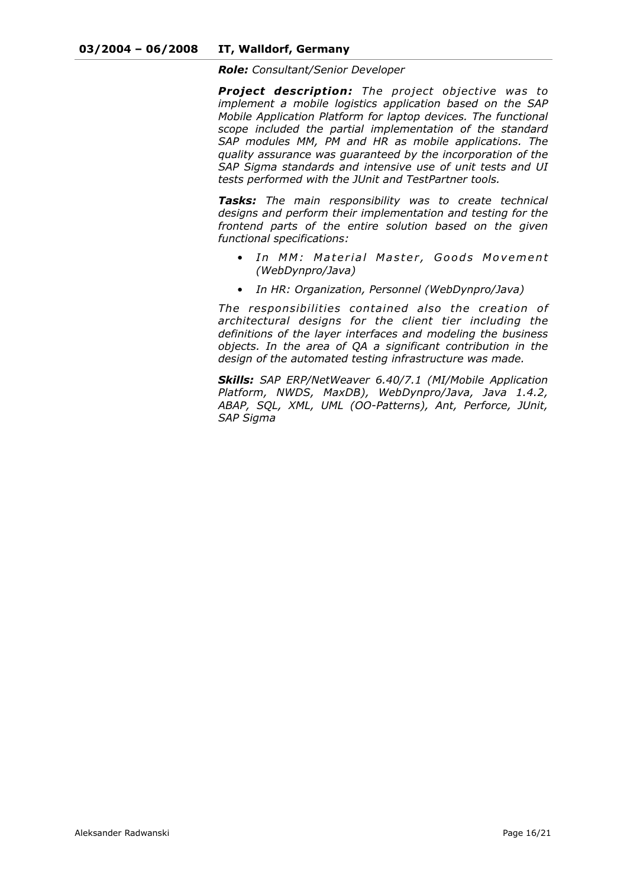*Role: Consultant/Senior Developer*

*Project description: The project objective was to implement a mobile logistics application based on the SAP Mobile Application Platform for laptop devices. The functional scope included the partial implementation of the standard SAP modules MM, PM and HR as mobile applications. The quality assurance was guaranteed by the incorporation of the SAP Sigma standards and intensive use of unit tests and UI tests performed with the JUnit and TestPartner tools.*

*Tasks: The main responsibility was to create technical designs and perform their implementation and testing for the frontend parts of the entire solution based on the given functional specifications:* 

- In MM: Material Master, Goods Movement *(WebDynpro/Java)*
- *In HR: Organization, Personnel (WebDynpro/Java)*

*The responsibilities contained also the creation of architectural designs for the client tier including the definitions of the layer interfaces and modeling the business objects. In the area of QA a significant contribution in the design of the automated testing infrastructure was made.*

*Skills: SAP ERP/NetWeaver 6.40/7.1 (MI/Mobile Application Platform, NWDS, MaxDB), WebDynpro/Java, Java 1.4.2, ABAP, SQL, XML, UML (OO-Patterns), Ant, Perforce, JUnit, SAP Sigma*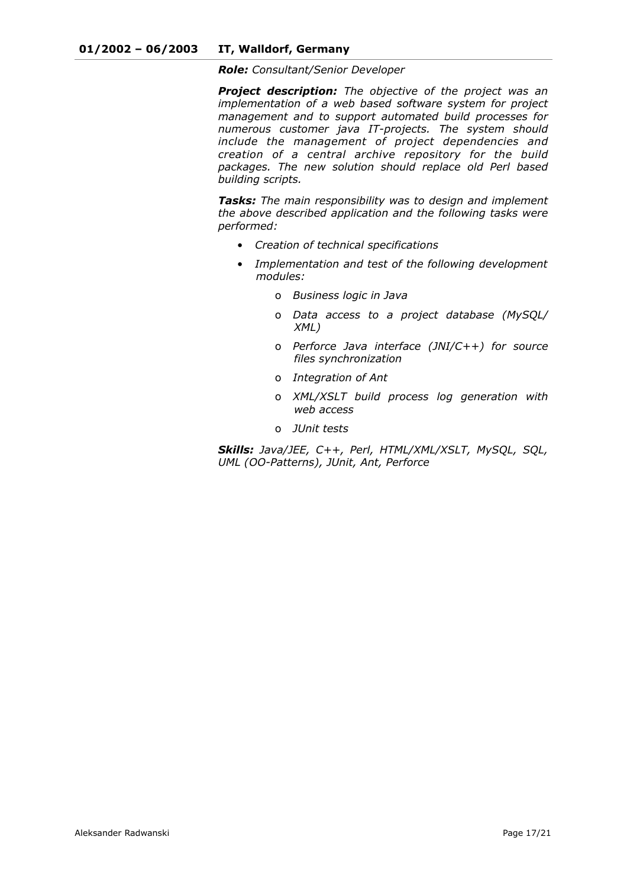*Role: Consultant/Senior Developer*

*Project description: The objective of the project was an implementation of a web based software system for project management and to support automated build processes for numerous customer java IT-projects. The system should include the management of project dependencies and creation of a central archive repository for the build packages. The new solution should replace old Perl based building scripts.*

*Tasks: The main responsibility was to design and implement the above described application and the following tasks were performed:* 

- *Creation of technical specifications*
- *Implementation and test of the following development modules:* 
	- o *Business logic in Java*
	- o *Data access to a project database (MySQL/ XML)*
	- o *Perforce Java interface (JNI/C++) for source files synchronization*
	- o *Integration of Ant*
	- o *XML/XSLT build process log generation with web access*
	- o *JUnit tests*

*Skills: Java/JEE, C++, Perl, HTML/XML/XSLT, MySQL, SQL, UML (OO-Patterns), JUnit, Ant, Perforce*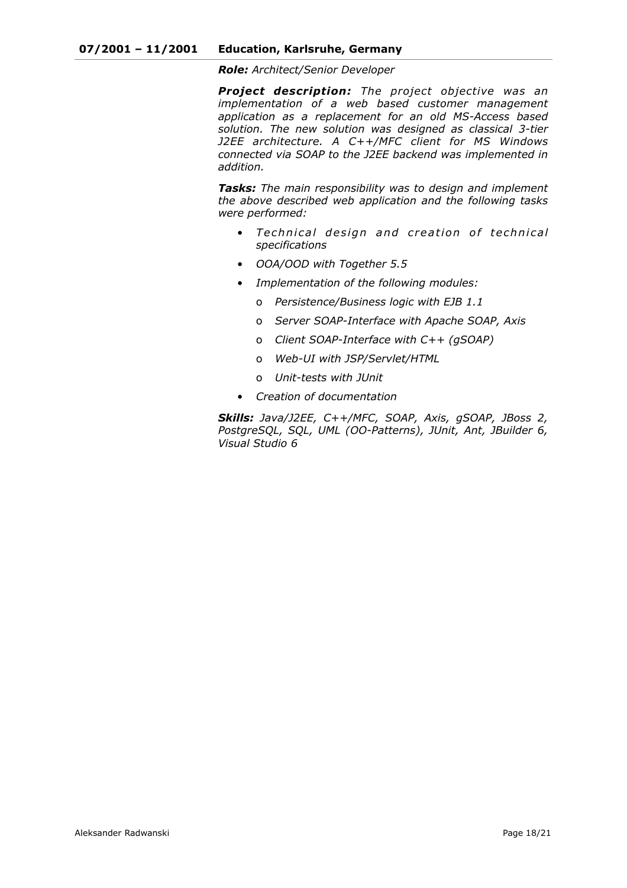*Role: Architect/Senior Developer*

*Project description: The project objective was an implementation of a web based customer management application as a replacement for an old MS-Access based solution. The new solution was designed as classical 3-tier J2EE architecture. A C++/MFC client for MS Windows connected via SOAP to the J2EE backend was implemented in addition.*

*Tasks: The main responsibility was to design and implement the above described web application and the following tasks were performed:* 

- Technical design and creation of technical *specifications*
- *OOA/OOD with Together 5.5*
- *Implementation of the following modules:* 
	- o *Persistence/Business logic with EJB 1.1*
	- o *Server SOAP-Interface with Apache SOAP, Axis*
	- o *Client SOAP-Interface with C++ (gSOAP)*
	- o *Web-UI with JSP/Servlet/HTML*
	- o *Unit-tests with JUnit*
- *Creation of documentation*

*Skills: Java/J2EE, C++/MFC, SOAP, Axis, gSOAP, JBoss 2, PostgreSQL, SQL, UML (OO-Patterns), JUnit, Ant, JBuilder 6, Visual Studio 6*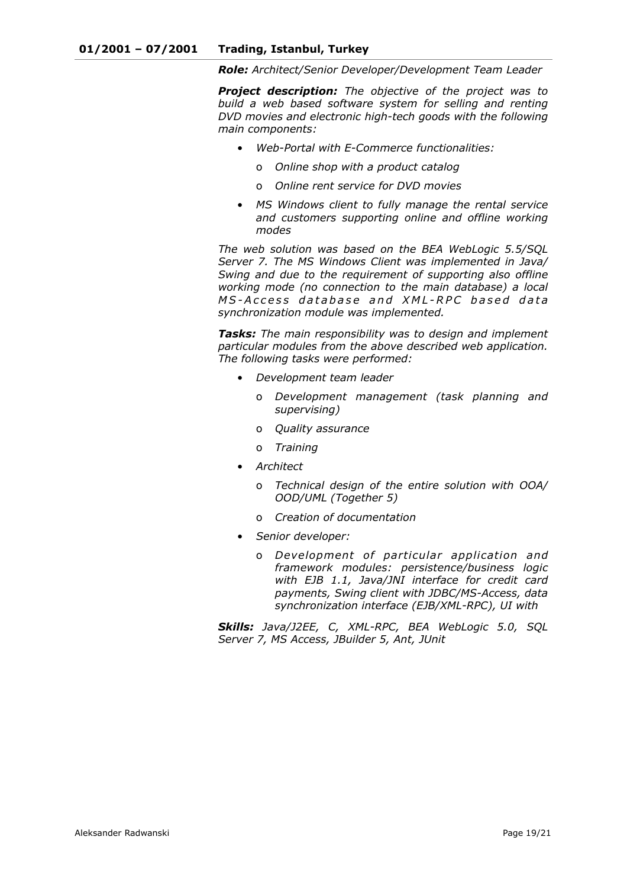*Role: Architect/Senior Developer/Development Team Leader*

*Project description: The objective of the project was to build a web based software system for selling and renting DVD movies and electronic high-tech goods with the following main components:* 

- *Web-Portal with E-Commerce functionalities:* 
	- o *Online shop with a product catalog*
	- o *Online rent service for DVD movies*
- *MS Windows client to fully manage the rental service and customers supporting online and offline working modes*

*The web solution was based on the BEA WebLogic 5.5/SQL Server 7. The MS Windows Client was implemented in Java/ Swing and due to the requirement of supporting also offline working mode (no connection to the main database) a local MS-Access database and XML-RPC based data synchronization module was implemented.*

*Tasks: The main responsibility was to design and implement particular modules from the above described web application. The following tasks were performed:* 

- *Development team leader* 
	- o *Development management (task planning and supervising)*
	- o *Quality assurance*
	- o *Training*
- *Architect* 
	- o *Technical design of the entire solution with OOA/ OOD/UML (Together 5)*
	- o *Creation of documentation*
- *Senior developer:* 
	- o *Development of particular application and framework modules: persistence/business logic with EJB 1.1, Java/JNI interface for credit card payments, Swing client with JDBC/MS-Access, data synchronization interface (EJB/XML-RPC), UI with*

*Skills: Java/J2EE, C, XML-RPC, BEA WebLogic 5.0, SQL Server 7, MS Access, JBuilder 5, Ant, JUnit*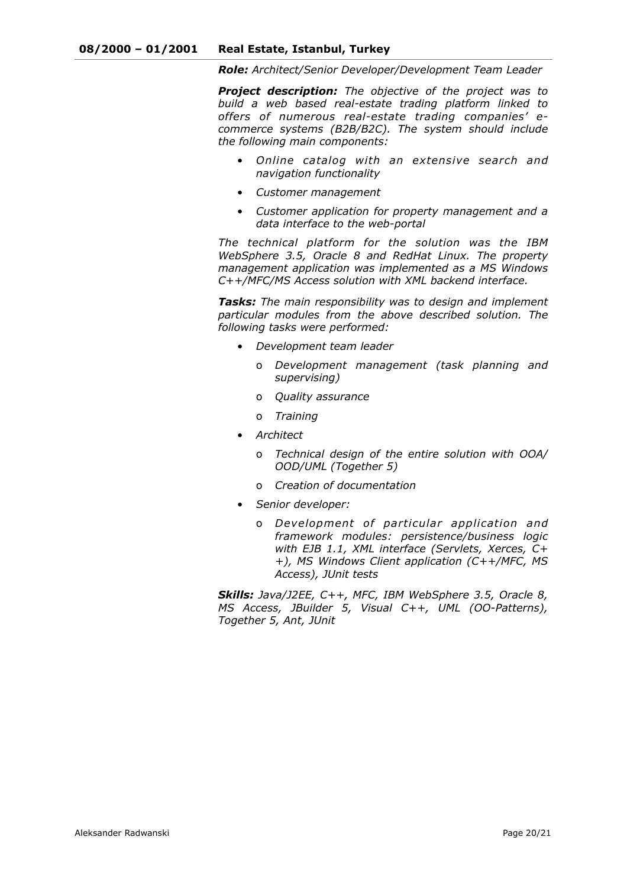*Role: Architect/Senior Developer/Development Team Leader*

*Project description: The objective of the project was to build a web based real-estate trading platform linked to offers of numerous real-estate trading companies' ecommerce systems (B2B/B2C). The system should include the following main components:* 

- *Online catalog with an extensive search and navigation functionality*
- *Customer management*
- *Customer application for property management and a data interface to the web-portal*

*The technical platform for the solution was the IBM WebSphere 3.5, Oracle 8 and RedHat Linux. The property management application was implemented as a MS Windows C++/MFC/MS Access solution with XML backend interface.*

*Tasks: The main responsibility was to design and implement particular modules from the above described solution. The following tasks were performed:* 

- *Development team leader* 
	- o *Development management (task planning and supervising)*
	- o *Quality assurance*
	- o *Training*
- *Architect* 
	- o *Technical design of the entire solution with OOA/ OOD/UML (Together 5)*
	- o *Creation of documentation*
- *Senior developer:* 
	- o *Development of particular application and framework modules: persistence/business logic with EJB 1.1, XML interface (Servlets, Xerces, C+ +), MS Windows Client application (C++/MFC, MS Access), JUnit tests*

*Skills: Java/J2EE, C++, MFC, IBM WebSphere 3.5, Oracle 8, MS Access, JBuilder 5, Visual C++, UML (OO-Patterns), Together 5, Ant, JUnit*